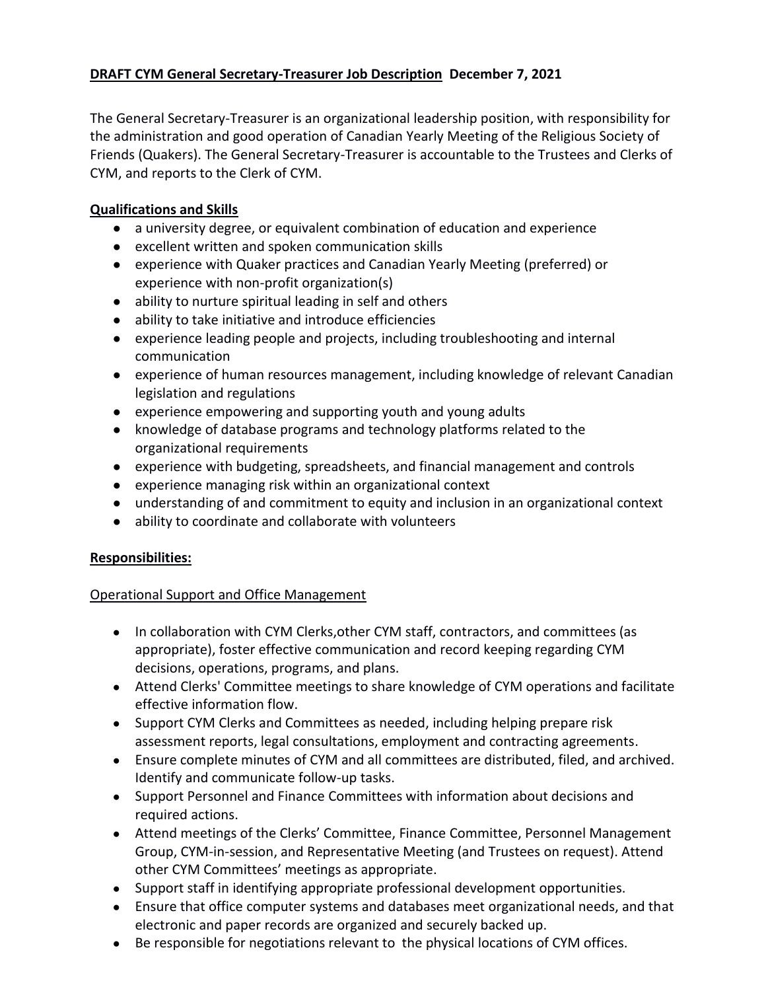# **DRAFT CYM General Secretary-Treasurer Job Description December 7, 2021**

The General Secretary-Treasurer is an organizational leadership position, with responsibility for the administration and good operation of Canadian Yearly Meeting of the Religious Society of Friends (Quakers). The General Secretary-Treasurer is accountable to the Trustees and Clerks of CYM, and reports to the Clerk of CYM.

# **Qualifications and Skills**

- a university degree, or equivalent combination of education and experience
- excellent written and spoken communication skills
- experience with Quaker practices and Canadian Yearly Meeting (preferred) or experience with non-profit organization(s)
- ability to nurture spiritual leading in self and others
- ability to take initiative and introduce efficiencies
- experience leading people and projects, including troubleshooting and internal communication
- experience of human resources management, including knowledge of relevant Canadian legislation and regulations
- experience empowering and supporting youth and young adults
- knowledge of database programs and technology platforms related to the organizational requirements
- experience with budgeting, spreadsheets, and financial management and controls
- experience managing risk within an organizational context
- understanding of and commitment to equity and inclusion in an organizational context
- ability to coordinate and collaborate with volunteers

# **Responsibilities:**

# Operational Support and Office Management

- In collaboration with CYM Clerks,other CYM staff, contractors, and committees (as appropriate), foster effective communication and record keeping regarding CYM decisions, operations, programs, and plans.
- Attend Clerks' Committee meetings to share knowledge of CYM operations and facilitate effective information flow.
- Support CYM Clerks and Committees as needed, including helping prepare risk assessment reports, legal consultations, employment and contracting agreements.
- Ensure complete minutes of CYM and all committees are distributed, filed, and archived. Identify and communicate follow-up tasks.
- Support Personnel and Finance Committees with information about decisions and required actions.
- Attend meetings of the Clerks' Committee, Finance Committee, Personnel Management Group, CYM-in-session, and Representative Meeting (and Trustees on request). Attend other CYM Committees' meetings as appropriate.
- Support staff in identifying appropriate professional development opportunities.
- Ensure that office computer systems and databases meet organizational needs, and that electronic and paper records are organized and securely backed up.
- Be responsible for negotiations relevant to the physical locations of CYM offices.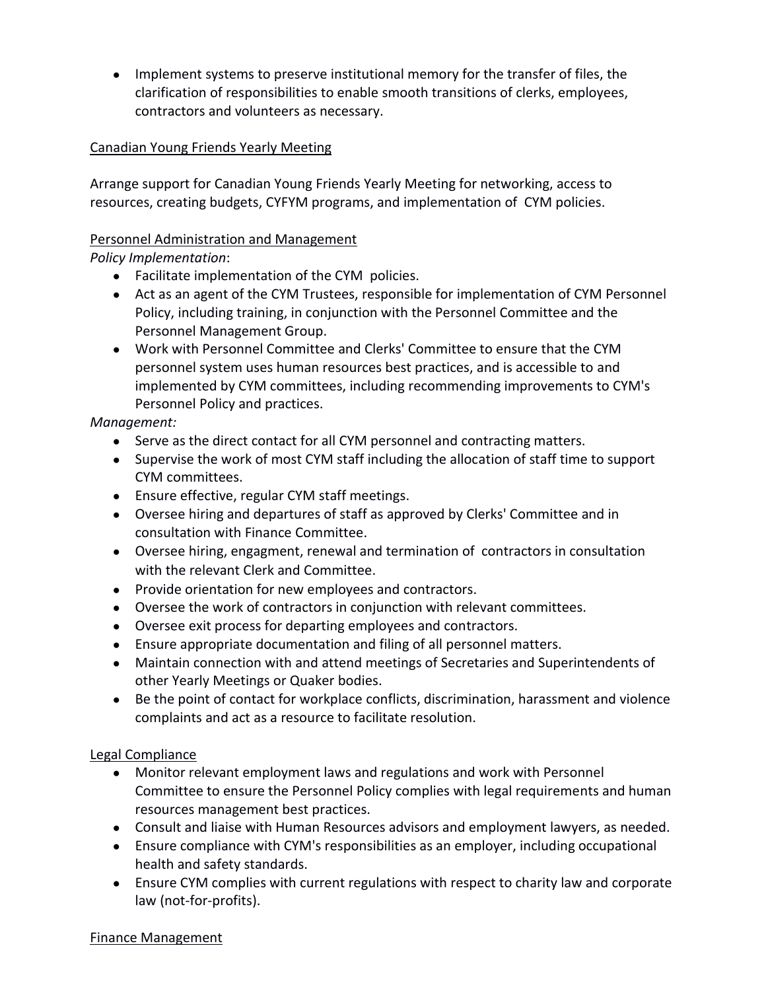● Implement systems to preserve institutional memory for the transfer of files, the clarification of responsibilities to enable smooth transitions of clerks, employees, contractors and volunteers as necessary.

# Canadian Young Friends Yearly Meeting

Arrange support for Canadian Young Friends Yearly Meeting for networking, access to resources, creating budgets, CYFYM programs, and implementation of CYM policies.

### Personnel Administration and Management

*Policy Implementation*:

- Facilitate implementation of the CYM policies.
- Act as an agent of the CYM Trustees, responsible for implementation of CYM Personnel Policy, including training, in conjunction with the Personnel Committee and the Personnel Management Group.
- Work with Personnel Committee and Clerks' Committee to ensure that the CYM personnel system uses human resources best practices, and is accessible to and implemented by CYM committees, including recommending improvements to CYM's Personnel Policy and practices.

# *Management:*

- Serve as the direct contact for all CYM personnel and contracting matters.
- Supervise the work of most CYM staff including the allocation of staff time to support CYM committees.
- Ensure effective, regular CYM staff meetings.
- Oversee hiring and departures of staff as approved by Clerks' Committee and in consultation with Finance Committee.
- Oversee hiring, engagment, renewal and termination of contractors in consultation with the relevant Clerk and Committee.
- Provide orientation for new employees and contractors.
- Oversee the work of contractors in conjunction with relevant committees.
- Oversee exit process for departing employees and contractors.
- Ensure appropriate documentation and filing of all personnel matters.
- Maintain connection with and attend meetings of Secretaries and Superintendents of other Yearly Meetings or Quaker bodies.
- Be the point of contact for workplace conflicts, discrimination, harassment and violence complaints and act as a resource to facilitate resolution.

# Legal Compliance

- Monitor relevant employment laws and regulations and work with Personnel Committee to ensure the Personnel Policy complies with legal requirements and human resources management best practices.
- Consult and liaise with Human Resources advisors and employment lawyers, as needed.
- Ensure compliance with CYM's responsibilities as an employer, including occupational health and safety standards.
- Ensure CYM complies with current regulations with respect to charity law and corporate law (not-for-profits).

#### Finance Management